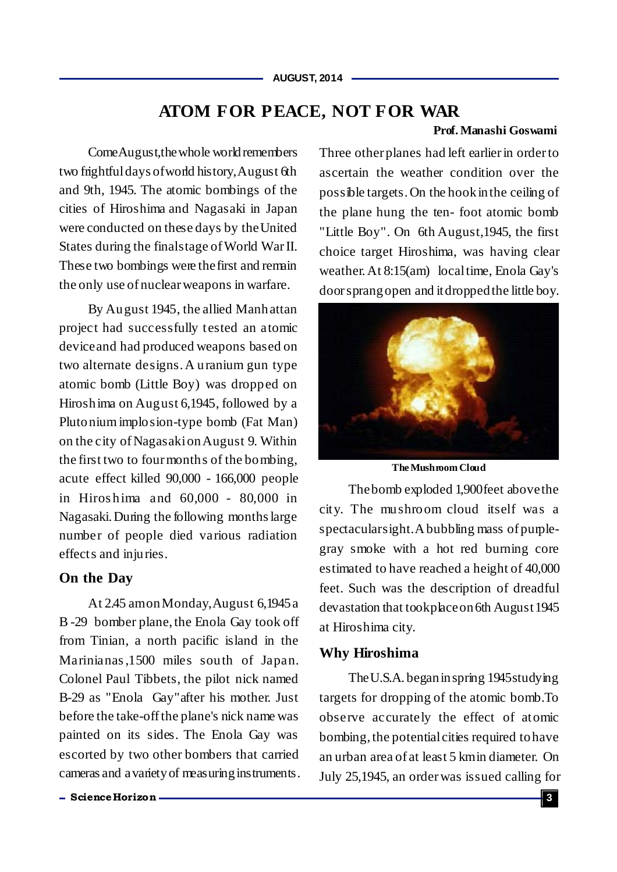# **ATOM FOR PEACE, NOT FOR WAR**

### **Prof. Manashi Goswami**

Come August, the whole world remembers two frightfuldays ofworld history,August 6th and 9th, 1945. The atomic bombings of the cities of Hiroshima and Nagasaki in Japan were conducted on these days by theUnited States during the finalstage of World War II. These two bombings were thefirst and remain the only use of nuclear weapons in warfare.

By August 1945, the allied Manhattan project had successfully tested an atomic deviceand had produced weapons based on two alternate designs. A uranium gun type atomic bomb (Little Boy) was dropped on Hiroshima on August 6,1945, followed by a Plutonium implosion-type bomb (Fat Man) on the city of NagasakionAugust 9. Within the first two to four months of the bombing, acute effect killed 90,000 - 166,000 people in Hiros hima and 60,000 - 80,000 in Nagasaki. During the following months large number of people died various radiation effects and injuries.

### **On the Day**

At 2.45 amonMonday,August 6,1945a B -29 bomber plane, the Enola Gay took off from Tinian, a north pacific island in the Marinianas ,1500 miles south of Japan. Colonel Paul Tibbets, the pilot nick named B-29 as "Enola Gay"after his mother. Just before the take-off the plane's nick name was painted on its sides. The Enola Gay was escorted by two other bombers that carried cameras and avarietyof measuringinstruments. Three other planes had left earlier in order to ascertain the weather condition over the possible targets. On the hookinthe ceiling of the plane hung the ten- foot atomic bomb "Little Boy". On 6th August,1945, the first choice target Hiroshima, was having clear weather. At 8:15(am) localtime, Enola Gay's door sprangopen and itdroppedthe little boy.



**The Mushroom Cloud**

Thebomb exploded 1,900feet abovethe city. The mushroom cloud itself was a spectacularsight.Abubbling mass of purplegray smoke with a hot red burning core estimated to have reached a height of 40,000 feet. Such was the description of dreadful devastation that tookplace on 6th August 1945 at Hiroshima city.

### **Why Hiroshima**

The U.S.A. began in spring 1945 studying targets for dropping of the atomic bomb.To observe accurately the effect of atomic bombing, the potential cities required to have an urban area of at least 5 kmin diameter. On July 25,1945, an orderwas issued calling for

**ScienceHorizon 3**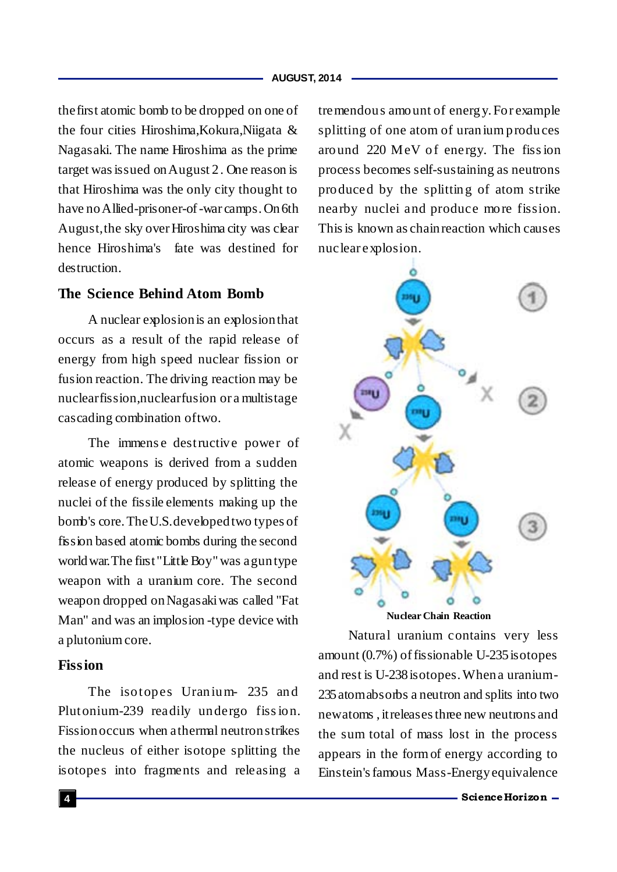#### **AUGUST, 2014**

thefirst atomic bomb to be dropped on one of the four cities Hiroshima,Kokura,Niigata & Nagasaki. The name Hiroshima as the prime target was issued onAugust 2. One reason is that Hiroshima was the only city thought to have no Allied-prisoner-of-war camps. On 6th August, the sky over Hiroshima city was clear hence Hiroshima's fate was destined for destruction.

# **The Science Behind Atom Bomb**

A nuclear explosionis an explosionthat occurs as a result of the rapid release of energy from high speed nuclear fission or fusion reaction. The driving reaction may be nuclearfission,nuclearfusion or a multistage cascading combination oftwo.

The immense destructive power of atomic weapons is derived from a sudden release of energy produced by splitting the nuclei of the fissile elements making up the bomb's core. TheU.S.developedtwo types of fission based atomic bombs during the second world war. The first "Little Boy" was a gun type weapon with a uranium core. The second weapon dropped onNagasakiwas called "Fat Man" and was an implosion -type device with a plutonium core.

## **Fission**

The isotopes Uranium- 235 and Plutonium-239 readily undergo fiss ion. Fissionoccurs when athermal neutronstrikes the nucleus of either isotope splitting the isotopes into fragments and releasing a tremendous amount of energy. For example splitting of one atom of uranium produces around 220 MeV of energy. The fiss ion process becomes self-sustaining as neutrons produced by the splitting of atom strike nearby nuclei and produce more fission. This is known as chain reaction which causes nuclear explosion.



**Nuclear Chain Reaction**

Natural uranium contains very less amount  $(0.7\%)$  of fissionable U-235 isotopes and rest is U-238isotopes. Whena uranium-235atomabsorbs a neutron and splits into two newatoms , itreleases three new neutrons and the sum total of mass lost in the process appears in the formof energy according to Einstein'sfamous Mass-Energyequivalence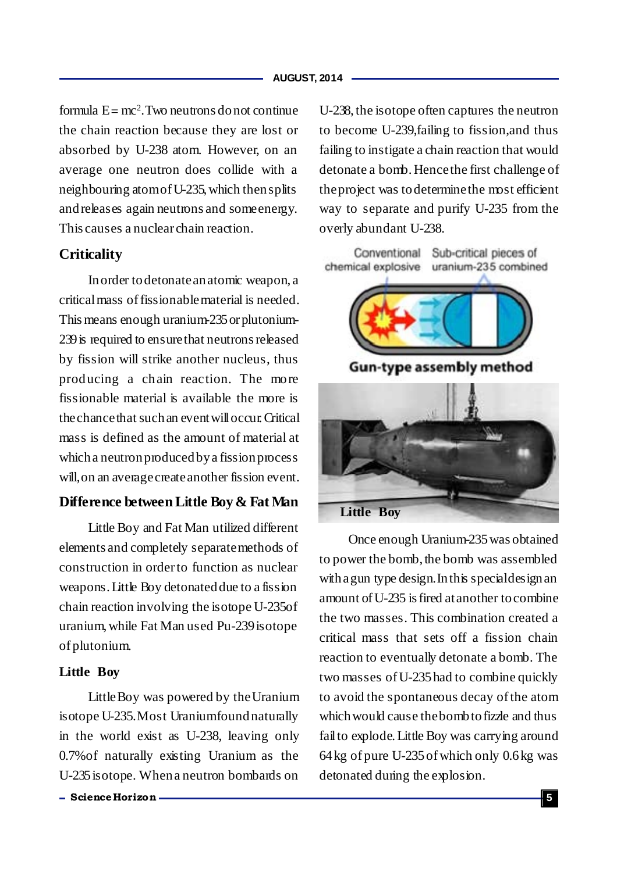#### **AUGUST, 2014**

formula  $E = mc^2$ . Two neutrons do not continue the chain reaction because they are lost or absorbed by U-238 atom. However, on an average one neutron does collide with a neighbouring atomof U-235, which thensplits andreleases again neutrons and someenergy. This causes a nuclear chain reaction.

# **Criticality**

Inorder todetonateanatomic weapon, a criticalmass of fissionablematerial is needed. This means enough uranium-235or plutonium-239 is required to ensure that neutrons released by fission will strike another nucleus, thus producing a chain reaction. The more fissionable material is available the more is thechancethat suchan eventwilloccur. Critical mass is defined as the amount of material at whicha neutronproducedbya fissionprocess will,on an averagecreateanother fission event.

# **Difference between Little Boy & Fat Man**

Little Boy and Fat Man utilized different elements and completely separatemethods of construction in order to function as nuclear weapons. Little Boy detonated due to a fission chain reaction involving the isotope U-235of uranium, while Fat Man used Pu-239 isotope of plutonium.

#### **Little Boy**

Little Boy was powered by the Uranium isotope U-235.Most Uraniumfoundnaturally in the world exist as U-238, leaving only 0.7%of naturally existing Uranium as the U-235isotope. Whena neutron bombards on

U-238, the isotope often captures the neutron to become U-239,failing to fission,and thus failing to instigate a chain reaction that would detonate a bomb. Hencethe first challenge of theproject was todeterminethe most efficient way to separate and purify U-235 from the overly abundant U-238.



**Little Boy**

Once enough Uranium-235was obtained to power the bomb, the bomb was assembled with a gun type design. In this special design an amount ofU-235 is fired atanother tocombine the two masses. This combination created a critical mass that sets off a fission chain reaction to eventually detonate a bomb. The two masses of U-235had to combine quickly to avoid the spontaneous decay ofthe atom which would cause the bomb to fizzle and thus failto explode.Little Boy was carrying around 64kg of pure U-235of which only 0.6kg was detonated during the explosion.

**ScienceHorizon 5**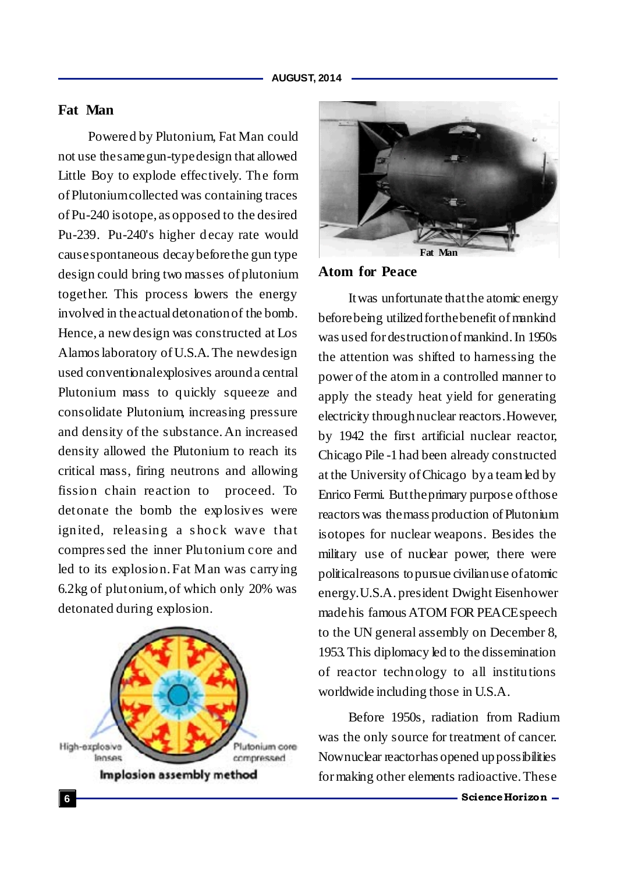# **Fat Man**

Powered by Plutonium, Fat Man could not use thesamegun-typedesign that allowed Little Boy to explode effectively. The form of Plutoniumcollected was containing traces of Pu-240 isotope, as opposed to the desired Pu-239. Pu-240's higher decay rate would causespontaneous decaybeforethe gun type design could bring two masses of plutonium together. This process lowers the energy involved in theactualdetonationof the bomb. Hence, a new design was constructed at Los Alamos laboratory of U.S.A. The newdesign used conventionalexplosives arounda central Plutonium mass to quickly squeeze and consolidate Plutonium, increasing pressure and density of the substance. An increased density allowed the Plutonium to reach its critical mass, firing neutrons and allowing fission chain reaction to proceed. To detonate the bomb the explosives were ignited, releasing a shock wave that compres sed the inner Plutonium core and led to its explosion. Fat Man was carrying 6.2kg of plutonium,of which only 20% was detonated during explosion.





## **Atom for Peace**

Itwas unfortunate thatthe atomic energy before being utilized for the benefit of mankind was used for destructionof mankind. In 1950s the attention was shifted to harnessing the power of the atomin a controlled manner to apply the steady heat yield for generating electricity throughnuclear reactors.However, by 1942 the first artificial nuclear reactor, Chicago Pile -1had been already constructed at the University ofChicago bya teamled by Enrico Fermi. Buttheprimary purpose ofthose reactors was themass production of Plutonium isotopes for nuclear weapons. Besides the military use of nuclear power, there were politicalreasons topursue civilianuse ofatomic energy.U.S.A. president Dwight Eisenhower madehis famous ATOM FOR PEACEspeech to the UN general assembly on December 8, 1953. This diplomacy led to the dissemination of reactor technology to all institutions worldwide including those in U.S.A.

Before 1950s, radiation from Radium was the only source for treatment of cancer. Nownuclear reactorhas opened uppossibilities for making other elements radioactive.These